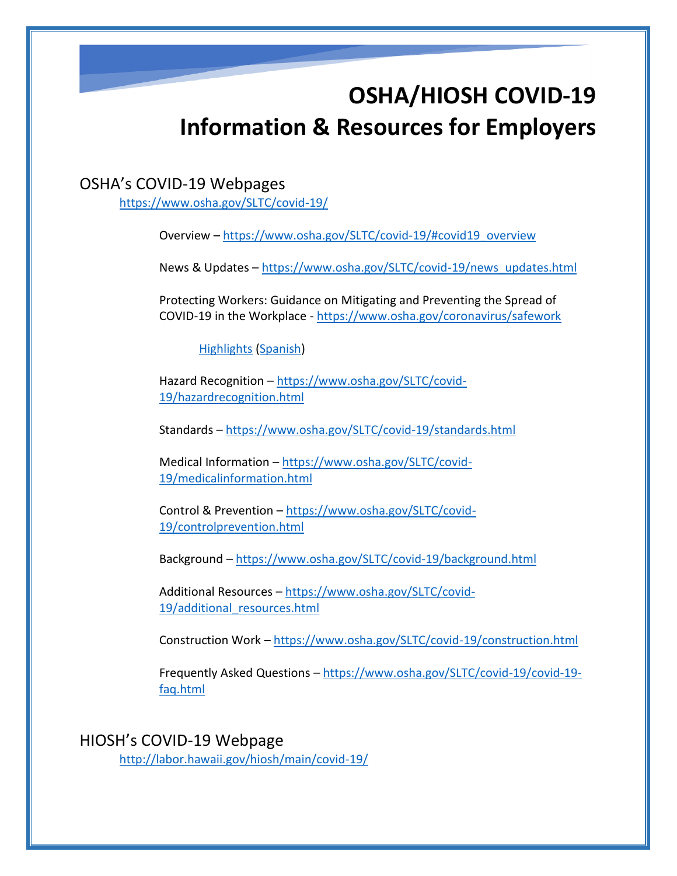# **OSHA/HIOSH COVID-19 Information & Resources for Employers**

#### OSHA's COVID-19 Webpages

<https://www.osha.gov/SLTC/covid-19/>

Overview – [https://www.osha.gov/SLTC/covid-19/#covid19\\_overview](https://www.osha.gov/SLTC/covid-19/#covid19_overview)

News & Updates – [https://www.osha.gov/SLTC/covid-19/news\\_updates.html](https://www.osha.gov/SLTC/covid-19/news_updates.html)

Protecting Workers: Guidance on Mitigating and Preventing the Spread of COVID-19 in the Workplace - <https://www.osha.gov/coronavirus/safework>

[Highlights](https://www.osha.gov/sites/default/files/revised-preventing-spread-covid-19-highlights.pdf) [\(Spanish\)](https://www.osha.gov/sites/default/files/revised-preventing-spread-covid-19-highlights-sp.pdf)

Hazard Recognition – [https://www.osha.gov/SLTC/covid-](https://www.osha.gov/SLTC/covid-19/hazardrecognition.html)[19/hazardrecognition.html](https://www.osha.gov/SLTC/covid-19/hazardrecognition.html)

Standards – <https://www.osha.gov/SLTC/covid-19/standards.html>

Medical Information – [https://www.osha.gov/SLTC/covid-](https://www.osha.gov/SLTC/covid-19/medicalinformation.html)[19/medicalinformation.html](https://www.osha.gov/SLTC/covid-19/medicalinformation.html)

Control & Prevention – [https://www.osha.gov/SLTC/covid-](https://www.osha.gov/SLTC/covid-19/controlprevention.html)[19/controlprevention.html](https://www.osha.gov/SLTC/covid-19/controlprevention.html)

Background – <https://www.osha.gov/SLTC/covid-19/background.html>

Additional Resources – [https://www.osha.gov/SLTC/covid-](https://www.osha.gov/SLTC/covid-19/additional_resources.html)[19/additional\\_resources.html](https://www.osha.gov/SLTC/covid-19/additional_resources.html)

Construction Work – <https://www.osha.gov/SLTC/covid-19/construction.html>

Frequently Asked Questions – [https://www.osha.gov/SLTC/covid-19/covid-19](https://www.osha.gov/SLTC/covid-19/covid-19-faq.html) [faq.html](https://www.osha.gov/SLTC/covid-19/covid-19-faq.html)

HIOSH's COVID-19 Webpage <http://labor.hawaii.gov/hiosh/main/covid-19/>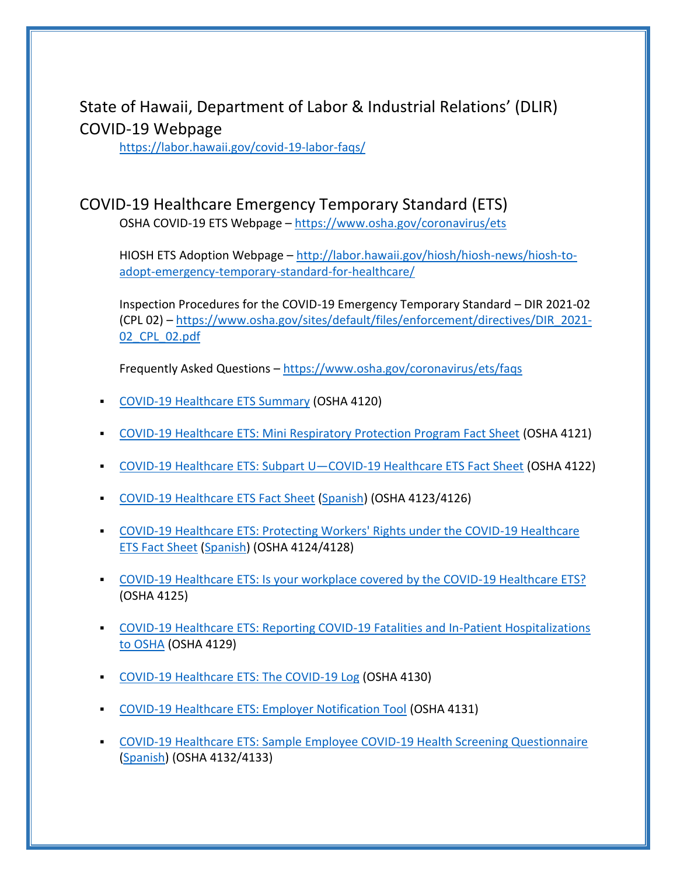State of Hawaii, Department of Labor & Industrial Relations' (DLIR) COVID-19 Webpage

<https://labor.hawaii.gov/covid-19-labor-faqs/>

## COVID-19 Healthcare Emergency Temporary Standard (ETS)

OSHA COVID-19 ETS Webpage – <https://www.osha.gov/coronavirus/ets>

HIOSH ETS Adoption Webpage – [http://labor.hawaii.gov/hiosh/hiosh-news/hiosh-to](http://labor.hawaii.gov/hiosh/hiosh-news/hiosh-to-adopt-emergency-temporary-standard-for-healthcare/)[adopt-emergency-temporary-standard-for-healthcare/](http://labor.hawaii.gov/hiosh/hiosh-news/hiosh-to-adopt-emergency-temporary-standard-for-healthcare/)

Inspection Procedures for the COVID-19 Emergency Temporary Standard – DIR 2021-02 (CPL 02) – [https://www.osha.gov/sites/default/files/enforcement/directives/DIR\\_2021-](https://www.osha.gov/sites/default/files/enforcement/directives/DIR_2021-02_CPL_02.pdf) [02\\_CPL\\_02.pdf](https://www.osha.gov/sites/default/files/enforcement/directives/DIR_2021-02_CPL_02.pdf)

Frequently Asked Questions - <https://www.osha.gov/coronavirus/ets/faqs>

- [COVID-19 Healthcare ETS Summary](https://www.osha.gov/sites/default/files/publications/OSHA4120.pdf) (OSHA 4120)
- [COVID-19 Healthcare ETS: Mini Respiratory Protection Program Fact Sheet](https://www.osha.gov/sites/default/files/publications/OSHA4121.pdf) (OSHA 4121)
- [COVID-19 Healthcare ETS: Subpart U](https://www.osha.gov/sites/default/files/publications/OSHA4122.pdf)—COVID-19 Healthcare ETS Fact Sheet (OSHA 4122)
- [COVID-19 Healthcare ETS Fact Sheet](https://www.osha.gov/sites/default/files/publications/OSHA4123.pdf) [\(Spanish\)](https://www.osha.gov/sites/default/files/publications/OSHA4127.pdf) (OSHA 4123/4126)
- **COVID-19 Healthcare ETS: Protecting Workers' Rights under the COVID-19 Healthcare** [ETS Fact Sheet](https://www.osha.gov/sites/default/files/publications/OSHA4124.pdf) [\(Spanish\)](https://www.osha.gov/sites/default/files/publications/OSHA4128.pdf) (OSHA 4124/4128)
- [COVID-19 Healthcare ETS: Is your workplace covered by the COVID-19 Healthcare ETS?](https://www.osha.gov/sites/default/files/publications/OSHA4125.pdf) (OSHA 4125)
- [COVID-19 Healthcare ETS: Reporting COVID-19 Fatalities and In-Patient Hospitalizations](https://www.osha.gov/sites/default/files/publications/OSHA4129.pdf)  [to OSHA](https://www.osha.gov/sites/default/files/publications/OSHA4129.pdf) (OSHA 4129)
- [COVID-19 Healthcare ETS: The COVID-19 Log](https://www.osha.gov/sites/default/files/publications/OSHA4130.pdf) (OSHA 4130)
- **[COVID-19 Healthcare ETS: Employer Notification Tool](https://www.osha.gov/sites/default/files/publications/OSHA4131.pdf) (OSHA 4131)**
- [COVID-19 Healthcare ETS: Sample Employee COVID-19 Health Screening Questionnaire](https://www.osha.gov/sites/default/files/publications/OSHA4132.pdf) [\(Spanish\)](https://www.osha.gov/sites/default/files/publications/OSHA4133.pdf) (OSHA 4132/4133)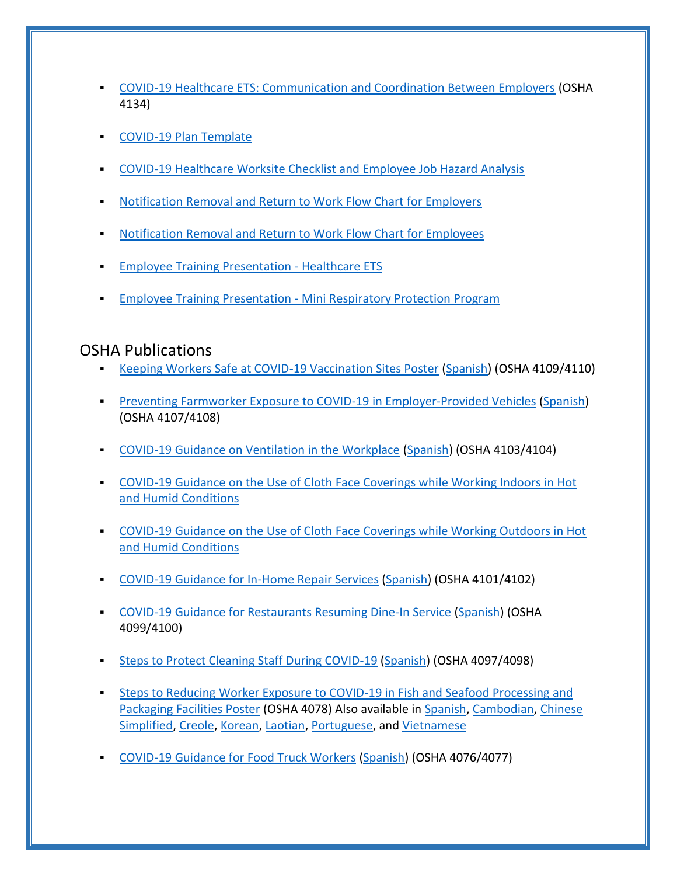- [COVID-19 Healthcare ETS: Communication and Coordination Between Employers](https://www.osha.gov/sites/default/files/publications/OSHA4134.pdf) (OSHA 4134)
- [COVID-19 Plan Template](https://www.osha.gov/sites/default/files/COVID-19_Healthcare_ETS_Model_Written_Plan.docx)
- [COVID-19 Healthcare Worksite Checklist and Employee Job Hazard Analysis](https://www.osha.gov/sites/default/files/COVID-19_Healthcare_ETS_Worksite_Checklist_Employee_Job_Hazard_Analysis.pdf)
- [Notification Removal and Return to Work Flow Chart for Employers](https://www.osha.gov/sites/default/files/COVID-19%20Healthcare%20ETS%20Notification%20Removal%20and%20Return%20to%20Work%20Flow%20Chart%20-%20Employer.pdf)
- [Notification Removal and Return to Work Flow Chart for Employees](https://www.osha.gov/sites/default/files/COVID-19%20Healthcare%20ETS%20Notification%20Removal%20and%20Return%20to%20Work%20Flow%20Chart%20-%20Worker.pdf)
- **[Employee Training Presentation -](https://www.osha.gov/sites/default/files/COVID-19%20Healthcare%20ETS%20502%20Employee%20Training.pptx) Healthcare ETS**
- **Employee Training Presentation [Mini Respiratory Protection Program](https://www.osha.gov/sites/default/files/COVID-19%20Healthcare%20ETS%20504%20Employee%20Training.pptx)**

## OSHA Publications

- [Keeping Workers Safe at COVID-19 Vaccination Sites Poster](https://www.osha.gov/Publications/OSHA4109.pdf) [\(Spanish\)](https://www.osha.gov/Publications/OSHA4110.pdf) (OSHA 4109/4110)
- **[Preventing Farmworker Exposure to COVID-19 in Employer-Provided Vehicles](https://www.osha.gov/Publications/OSHA4107.pdf) [\(Spanish\)](https://www.osha.gov/Publications/OSHA4108.pdf)** (OSHA 4107/4108)
- [COVID-19 Guidance on Ventilation in the Workplace](https://www.osha.gov/Publications/OSHA4103.pdf) [\(Spanish\)](https://www.osha.gov/Publications/OSHA4104.pdf) (OSHA 4103/4104)
- [COVID-19 Guidance on the Use of Cloth Face Coverings while Working Indoors in Hot](https://www.osha.gov/SLTC/heatstress/covid-19-cloth-coverings-indoor-heat.pdf)  [and Humid Conditions](https://www.osha.gov/SLTC/heatstress/covid-19-cloth-coverings-indoor-heat.pdf)
- [COVID-19 Guidance on the Use of Cloth Face Coverings while Working Outdoors in Hot](https://www.osha.gov/SLTC/heatstress/covid-19-cloth-coverings-outdoor-heat.pdf)  [and Humid Conditions](https://www.osha.gov/SLTC/heatstress/covid-19-cloth-coverings-outdoor-heat.pdf)
- [COVID-19 Guidance for In-Home Repair Services](https://www.osha.gov/Publications/OSHA4101.pdf) [\(Spanish\)](https://www.osha.gov/Publications/OSHA4102.pdf) (OSHA 4101/4102)
- [COVID-19 Guidance for Restaurants Resuming Dine-In Service](https://www.osha.gov/Publications/OSHA4099.pdf) [\(Spanish\)](https://www.osha.gov/Publications/OSHA4100.pdf) (OSHA 4099/4100)
- [Steps to Protect Cleaning Staff During COVID-19](https://www.osha.gov/Publications/OSHA4097.pdf) [\(Spanish\)](https://www.osha.gov/Publications/OSHA4098.pdf) (OSHA 4097/4098)
- **EXECTS 15 Steps to Reducing Worker Exposure to COVID-19 in Fish and Seafood Processing and** [Packaging Facilities Poster](https://www.osha.gov/Publications/OSHA4078.pdf) (OSHA 4078) Also available in [Spanish,](https://www.osha.gov/Publications/OSHA4079.pdf) [Cambodian,](https://www.osha.gov/Publications/OSHA4090.pdf) [Chinese](https://www.osha.gov/Publications/OSHA4091.pdf)  [Simplified,](https://www.osha.gov/Publications/OSHA4091.pdf) [Creole,](https://www.osha.gov/Publications/OSHA4096.pdf) [Korean,](https://www.osha.gov/Publications/OSHA4093.pdf) [Laotian,](https://www.osha.gov/Publications/OSHA4095.pdf) [Portuguese,](https://www.osha.gov/Publications/OSHA4089.pdf) and [Vietnamese](https://www.osha.gov/Publications/OSHA4092.pdf)
- [COVID-19 Guidance for Food Truck Workers](https://www.osha.gov/Publications/OSHA4076.pdf) [\(Spanish\)](https://www.osha.gov/Publications/OSHA4077.pdf) (OSHA 4076/4077)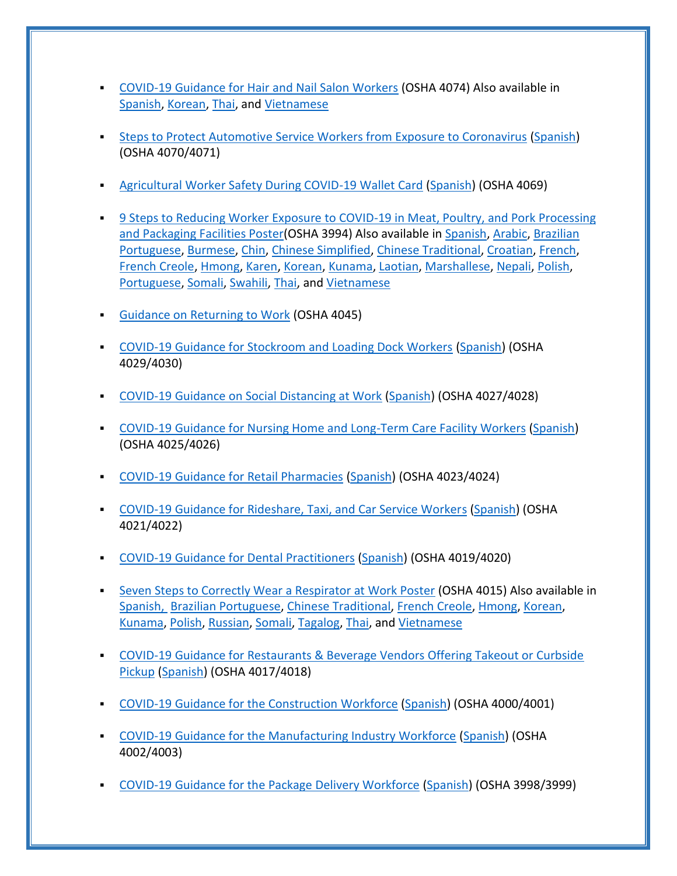- [COVID-19 Guidance for Hair and Nail Salon Workers](https://www.osha.gov/Publications/OSHA4074.pdf) (OSHA 4074) Also available in [Spanish,](https://www.osha.gov/Publications/OSHA4075.pdf) [Korean,](https://www.osha.gov/Publications/OSHA4081.pdf) [Thai,](https://www.osha.gov/Publications/OSHA4082.pdf) and [Vietnamese](https://www.osha.gov/Publications/OSHA4080.pdf)
- **Example 25 [Steps to Protect Automotive Service Workers from Exposure to Coronavirus](https://www.osha.gov/Publications/OSHA4070.pdf) [\(Spanish\)](https://www.osha.gov/Publications/OSHA4071.pdf)** (OSHA 4070/4071)
- [Agricultural Worker Safety During COVID-19 Wallet Card](https://www.osha.gov/Publications/OSHA4069.pdf) [\(Spanish\)](https://www.osha.gov/Publications/OSHA4069SP.pdf) (OSHA 4069)
- **9 Steps to Reducing Worker Exposure to COVID-19 in Meat, Poultry, and Pork Processing** [and Packaging Facilities Poster\(](https://www.osha.gov/Publications/OSHA4050.pdf)OSHA 3994) Also available in [Spanish,](https://www.osha.gov/Publications/OSHA4051.pdf) [Arabic,](https://www.osha.gov/Publications/OSHA4062.pdf) [Brazilian](https://www.osha.gov/Publications/OSHA4061.pdf)  [Portuguese,](https://www.osha.gov/Publications/OSHA4061.pdf) [Burmese,](https://www.osha.gov/Publications/OSHA4087.pdf) [Chin,](https://www.osha.gov/Publications/OSHA4085.pdf) [Chinese Simplified,](https://www.osha.gov/Publications/OSHA4064.pdf) [Chinese Traditional,](https://www.osha.gov/Publications/OSHA4065.pdf) [Croatian,](https://www.osha.gov/Publications/OSHA4086.pdf) [French,](https://www.osha.gov/Publications/OSHA4052.pdf) [French Creole,](https://www.osha.gov/Publications/OSHA4053.pdf) [Hmong,](https://www.osha.gov/Publications/OSHA4054.pdf) [Karen,](https://www.osha.gov/Publications/OSHA4083.pdf) [Korean,](https://www.osha.gov/Publications/OSHA4055.pdf) [Kunama,](https://www.osha.gov/Publications/OSHA4056.pdf) [Laotian,](https://www.osha.gov/Publications/OSHA4084.pdf) [Marshallese,](https://www.osha.gov/Publications/OSHA4068.pdf) [Nepali,](https://www.osha.gov/Publications/OSHA4056.pdf) [Polish,](https://www.osha.gov/Publications/OSHA4058.pdf) [Portuguese,](https://www.osha.gov/Publications/OSHA4063.pdf) [Somali,](https://www.osha.gov/Publications/OSHA4059.pdf) [Swahili,](https://www.osha.gov/Publications/OSHA4088.pdf) [Thai,](https://www.osha.gov/Publications/OSHA4066.pdf) and [Vietnamese](https://www.osha.gov/Publications/OSHA4060.pdf)
- **[Guidance on Returning to Work](https://www.osha.gov/Publications/OSHA4045.pdf) (OSHA 4045)**
- **[COVID-19 Guidance for Stockroom and Loading Dock Workers](https://www.osha.gov/Publications/OSHA4029.pdf) [\(Spanish\)](https://www.osha.gov/Publications/OSHA4030.pdf) (OSHA** 4029/4030)
- [COVID-19 Guidance on Social Distancing at Work](https://www.osha.gov/Publications/OSHA4027.pdf) [\(Spanish\)](https://www.osha.gov/Publications/OSHA4028.pdf) (OSHA 4027/4028)
- **[COVID-19 Guidance for Nursing Home and Long-Term Care Facility Workers](https://www.osha.gov/Publications/OSHA4025.pdf) [\(Spanish\)](https://www.osha.gov/Publications/OSHA4026.pdf)** (OSHA 4025/4026)
- [COVID-19 Guidance for Retail Pharmacies](https://www.osha.gov/Publications/OSHA4023.pdf) [\(Spanish\)](https://www.osha.gov/Publications/OSHA4024.pdf) (OSHA 4023/4024)
- [COVID-19 Guidance for Rideshare, Taxi, and Car Service Workers](https://www.osha.gov/Publications/OSHA4021.pdf) [\(Spanish\)](https://www.osha.gov/Publications/OSHA4022.pdf) (OSHA 4021/4022)
- [COVID-19 Guidance for Dental Practitioners](https://www.osha.gov/Publications/OSHA4019.pdf) [\(Spanish\)](https://www.osha.gov/Publications/OSHA4020.pdf) (OSHA 4019/4020)
- **EXECTE [Seven Steps to Correctly Wear a Respirator at Work Poster](https://www.osha.gov/Publications/OSHA4015.pdf) (OSHA 4015) Also available in** [Spanish,](https://www.osha.gov/Publications/OSHA4016.pdf) [Brazilian Portuguese,](https://www.osha.gov/Publications/OSHA4037.pdf) [Chinese Traditional,](https://www.osha.gov/Publications/OSHA4031.pdf) [French Creole,](https://www.osha.gov/Publications/OSHA4034.pdf) [Hmong,](https://www.osha.gov/Publications/OSHA4041.pdf) [Korean,](https://www.osha.gov/Publications/OSHA4039.pdf) [Kunama,](https://www.osha.gov/Publications/OSHA4043.pdf) [Polish,](https://www.osha.gov/Publications/OSHA4038.pdf) [Russian,](https://www.osha.gov/Publications/OSHA4040.pdf) [Somali,](https://www.osha.gov/Publications/OSHA4044.pdf) [Tagalog,](https://www.osha.gov/Publications/OSHA4033.pdf) [Thai,](https://www.osha.gov/Publications/OSHA4042.pdf) and [Vietnamese](https://www.osha.gov/Publications/OSHA4035.pdf)
- **COVID-19 Guidance for Restaurants & Beverage Vendors Offering Takeout or Curbside** [Pickup](https://www.osha.gov/Publications/OSHA4017.pdf) [\(Spanish\)](https://www.osha.gov/Publications/OSHA4018.pdf) (OSHA 4017/4018)
- [COVID-19 Guidance for the Construction Workforce](https://www.osha.gov/Publications/OSHA4000.pdf) [\(Spanish\)](https://www.osha.gov/Publications/OSHA4001.pdf) (OSHA 4000/4001)
- [COVID-19 Guidance for the Manufacturing Industry Workforce](https://www.osha.gov/Publications/OSHA4002.pdf) [\(Spanish\)](https://www.osha.gov/Publications/OSHA4003.pdf) (OSHA 4002/4003)
- **[COVID-19 Guidance for the Package Delivery Workforce](https://www.osha.gov/Publications/OSHA3998.pdf) [\(Spanish\)](https://www.osha.gov/Publications/OSHA3999.pdf) (OSHA 3998/3999)**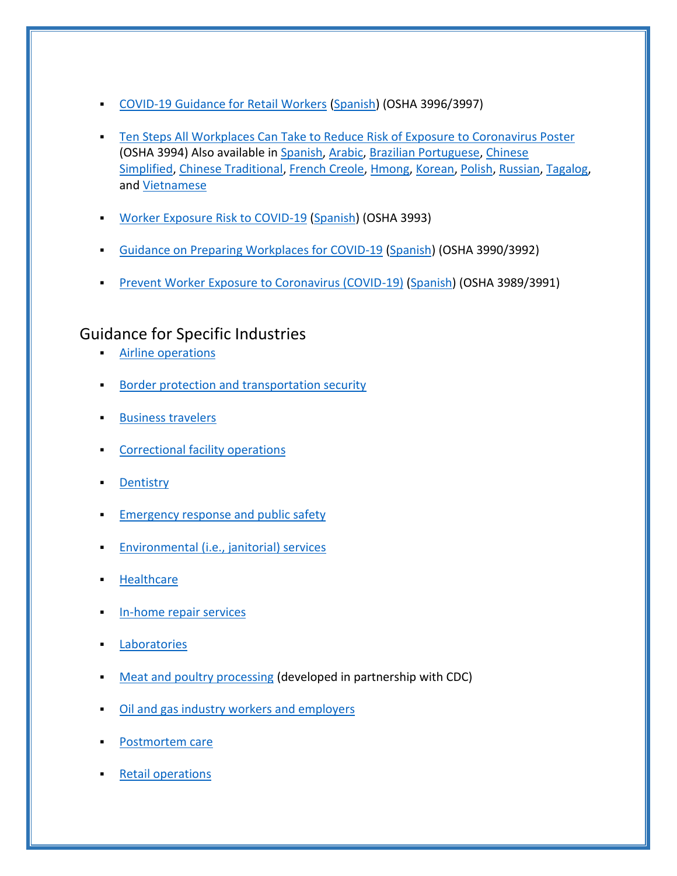- [COVID-19 Guidance for Retail Workers](https://www.osha.gov/Publications/OSHA3996.pdf) [\(Spanish\)](https://www.osha.gov/Publications/OSHA3997.pdf) (OSHA 3996/3997)
- **EXECT** [Ten Steps All Workplaces Can Take to Reduce Risk of Exposure to Coronavirus Poster](https://www.osha.gov/Publications/OSHA3994.pdf) (OSHA 3994) Also available in [Spanish,](https://www.osha.gov/Publications/OSHA3995.pdf) [Arabic,](https://www.osha.gov/Publications/OSHA4014.pdf) [Brazilian Portuguese,](https://www.osha.gov/Publications/OSHA4009.pdf) [Chinese](https://www.osha.gov/Publications/OSHA4005.pdf)  [Simplified,](https://www.osha.gov/Publications/OSHA4005.pdf) [Chinese Traditional,](https://www.osha.gov/Publications/OSHA4004.pdf) [French Creole,](https://www.osha.gov/Publications/OSHA4007.pdf) [Hmong,](https://www.osha.gov/Publications/OSHA4013.pdf) [Korean,](https://www.osha.gov/Publications/OSHA4011.pdf) [Polish,](https://www.osha.gov/Publications/OSHA4010.pdf) [Russian,](https://www.osha.gov/Publications/OSHA4012.pdf) [Tagalog,](https://www.osha.gov/Publications/OSHA4006.pdf) and [Vietnamese](https://www.osha.gov/Publications/OSHA4008.pdf)
- **[Worker Exposure Risk to COVID-19](https://www.osha.gov/Publications/OSHA3993.pdf) [\(Spanish\)](https://www.osha.gov/Publications/OSHA3993SP.pdf) (OSHA 3993)**
- [Guidance on Preparing Workplaces for COVID-19](https://www.osha.gov/Publications/OSHA3990.pdf) [\(Spanish\)](https://www.osha.gov/Publications/OSHA3992.pdf) (OSHA 3990/3992)
- **[Prevent Worker Exposure to Coronavirus \(COVID-19\)](https://www.osha.gov/Publications/OSHA3989.pdf) [\(Spanish\)](https://www.osha.gov/Publications/OSHA3991.pdf) (OSHA 3989/3991)**

# Guidance for Specific Industries

- **EXECUTE:** [Airline operations](https://www.osha.gov/SLTC/covid-19/airline.html)
- [Border protection and transportation security](https://www.osha.gov/SLTC/covid-19/border-protection-transportation-security.html)
- **[Business travelers](https://www.osha.gov/SLTC/covid-19/business-travelers.html)**
- [Correctional facility operations](https://www.osha.gov/SLTC/covid-19/correctional-facility.html)
- **[Dentistry](https://www.osha.gov/SLTC/covid-19/dentistry.html)**
- **[Emergency response and public safety](https://www.osha.gov/SLTC/covid-19/emergency-response.html)**
- [Environmental \(i.e., janitorial\) services](https://www.osha.gov/SLTC/covid-19/environmental-services.html)
- **[Healthcare](https://www.osha.gov/SLTC/covid-19/healthcare-workers.html)**
- [In-home repair services](https://www.osha.gov/SLTC/covid-19/in-home-repair.html)
- **[Laboratories](https://www.osha.gov/SLTC/covid-19/laboratory.html)**
- [Meat and poultry processing](https://www.cdc.gov/coronavirus/2019-ncov/community/organizations/meat-poultry-processing-workers-employers.html) (developed in partnership with CDC)
- [Oil and gas industry workers and employers](https://www.osha.gov/SLTC/covid-19/oil-gas.html)
- [Postmortem care](https://www.osha.gov/SLTC/covid-19/postmortem-care.html)
- **[Retail operations](https://www.osha.gov/SLTC/covid-19/retail.html)**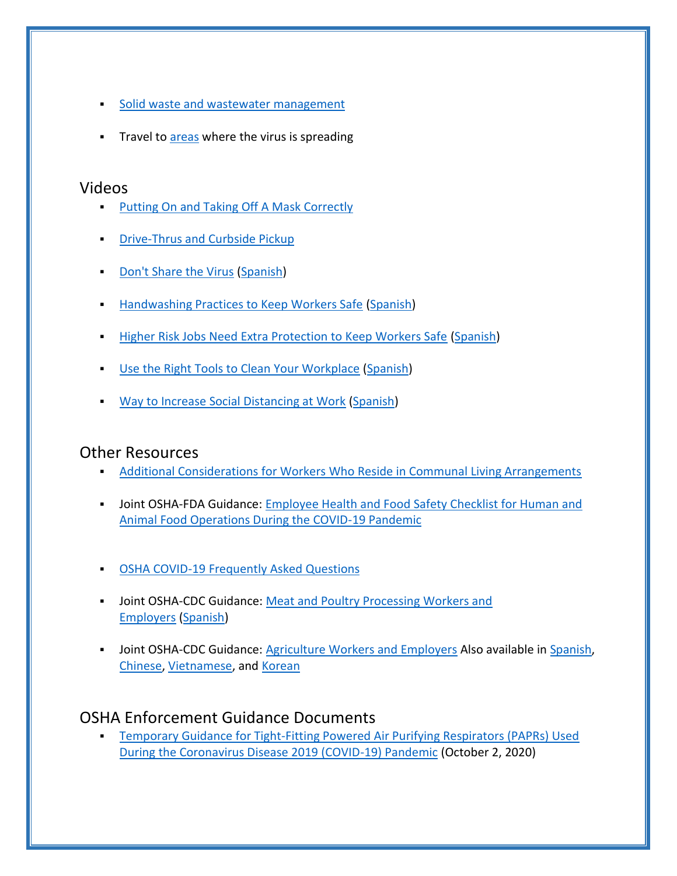- [Solid waste and wastewater management](https://www.osha.gov/SLTC/covid-19/solid-waste-wastewater-mgmt.html)
- **Travel to [areas](https://www.cdc.gov/coronavirus/2019-ncov/cases-updates/world-map.html#map) where the virus is spreading**

#### Videos

- **[Putting On and Taking Off A Mask Correctly](https://www.youtube.com/watch?v=oU4stQgCtV8&feature=emb_title)**
- **[Drive-Thrus and Curbside Pickup](https://www.youtube.com/watch?v=DjTxdcU5wA8)**
- **[Don't Share the Virus](https://www.youtube.com/watch?v=g-SJwEFR8pw) [\(Spanish\)](https://www.youtube.com/watch?v=0iZmJVBut1w&list=PLY-LCLcsLXVGAyq57gL0VV7HTvKtVZaBz)**
- **EXECTE [Handwashing Practices to Keep Workers Safe](https://www.youtube.com/watch?v=lvT-HAVJPVA) [\(Spanish\)](https://www.youtube.com/watch?v=S2ykL6Y8Pcg)**
- **EXECT** [Higher Risk Jobs Need Extra Protection to Keep Workers Safe](https://www.youtube.com/watch?v=fIxts7nOEOM) [\(Spanish\)](https://www.youtube.com/watch?v=C9q6d3TfiW4)
- **[Use the Right Tools to Clean Your Workplace](https://www.youtube.com/watch?v=GCglmnV-3M0) [\(Spanish\)](https://www.youtube.com/watch?v=EJ8pg5LcAmU)**
- **[Way to Increase Social Distancing at Work](https://www.youtube.com/watch?v=QmAwg8qMBRo) [\(Spanish\)](https://www.youtube.com/watch?v=uYsy4mAuqOo)**

#### Other Resources

- [Additional Considerations for Workers Who Reside in Communal Living Arrangements](https://www.osha.gov/SLTC/covid-19/workers-in-shared-housing.html)
- **.** Joint OSHA-FDA Guidance: Employee Health and Food Safety Checklist for Human and [Animal Food Operations During the COVID-19 Pandemic](https://www.fda.gov/media/141141/download)
- **[OSHA COVID-19 Frequently Asked Questions](https://www.osha.gov/SLTC/covid-19/covid-19-faq.html)**
- **■** Joint OSHA-CDC Guidance: Meat and Poultry Processing Workers and [Employers](https://www.cdc.gov/coronavirus/2019-ncov/community/organizations/meat-poultry-processing-workers-employers.html) [\(Spanish\)](https://espanol.cdc.gov/coronavirus/2019-ncov/community/organizations/meat-poultry-processing-workers-employers.html)
- **Joint OSHA-CDC Guidance: [Agriculture Workers and Employers](https://www.cdc.gov/coronavirus/2019-ncov/community/guidance-agricultural-workers.html) Also available in [Spanish,](https://espanol.cdc.gov/coronavirus/2019-ncov/community/guidance-agricultural-workers.html)** [Chinese,](https://chinese.cdc.gov/coronavirus/2019-ncov/community/guidance-agricultural-workers.html) [Vietnamese,](https://vietnamese.cdc.gov/coronavirus/2019-ncov/community/guidance-agricultural-workers.html) and [Korean](https://korean.cdc.gov/coronavirus/2019-ncov/community/guidance-agricultural-workers.html)

#### OSHA Enforcement Guidance Documents

**Temporary Guidance for Tight-Fitting Powered Air Purifying Respirators (PAPRs) Used** [During the Coronavirus Disease 2019 \(COVID-19\) Pandemic](https://www.osha.gov/memos/2020-10-02/temporary-enforcement-guidance-tight-fitting-powered-air-purifying-respirators) (October 2, 2020)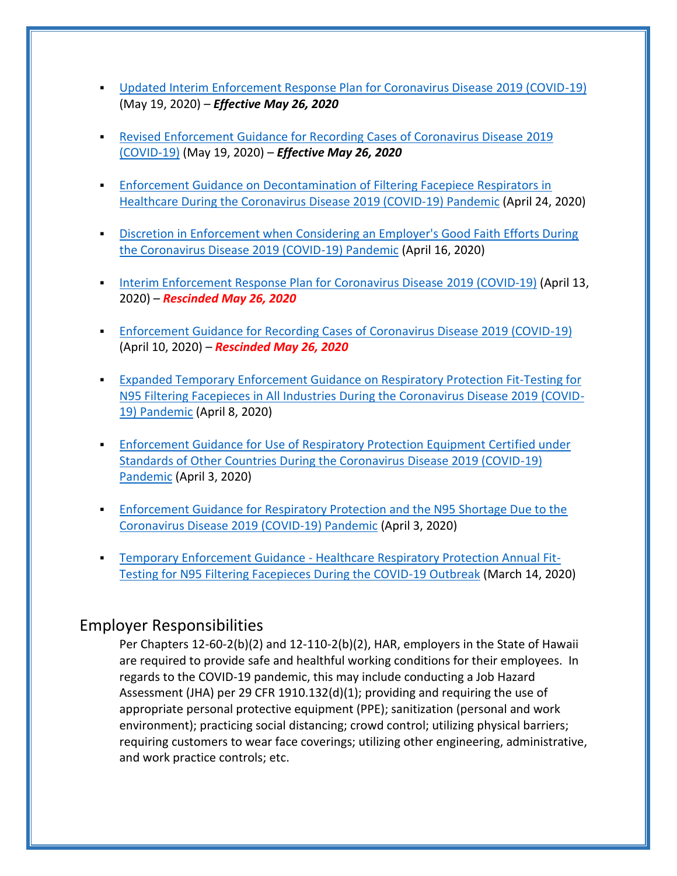- [Updated Interim Enforcement Response Plan for Coronavirus Disease 2019 \(COVID-19\)](https://www.osha.gov/memos/2020-05-19/updated-interim-enforcement-response-plan-coronavirus-disease-2019-covid-19) (May 19, 2020) – *Effective May 26, 2020*
- [Revised Enforcement Guidance for Recording Cases of Coronavirus Disease 2019](https://www.osha.gov/memos/2020-05-19/revised-enforcement-guidance-recording-cases-coronavirus-disease-2019-covid-19)  [\(COVID-19\)](https://www.osha.gov/memos/2020-05-19/revised-enforcement-guidance-recording-cases-coronavirus-disease-2019-covid-19) (May 19, 2020) – *Effective May 26, 2020*
- **Enforcement Guidance on Decontamination of Filtering Facepiece Respirators in** [Healthcare During the Coronavirus Disease 2019 \(COVID-19\) Pandemic](https://www.osha.gov/memos/2020-04-24/enforcement-guidance-decontamination-filtering-facepiece-respirators-healthcare) (April 24, 2020)
- **Discretion in Enforcement when Considering an Employer's Good Faith Efforts During** [the Coronavirus Disease 2019 \(COVID-19\) Pandemic](https://www.osha.gov/memos/2020-04-16/discretion-enforcement-when-considering-employers-good-faith-efforts-during) (April 16, 2020)
- [Interim Enforcement Response Plan for Coronavirus Disease](https://www.osha.gov/memos/2020-04-13/interim-enforcement-response-plan-coronavirus-disease-2019-covid-19) 2019 (COVID-19) (April 13, 2020) – *Rescinded May 26, 2020*
- **[Enforcement Guidance for Recording Cases of Coronavirus Disease 2019 \(COVID-19\)](https://www.osha.gov/memos/2020-04-10/enforcement-guidance-recording-cases-coronavirus-disease-2019-covid-19)** (April 10, 2020) – *Rescinded May 26, 2020*
- [Expanded Temporary Enforcement Guidance on Respiratory Protection Fit-Testing for](https://www.osha.gov/memos/2020-04-08/expanded-temporary-enforcement-guidance-respiratory-protection-fit-testing-n95)  [N95 Filtering Facepieces in All Industries During the Coronavirus Disease 2019 \(COVID-](https://www.osha.gov/memos/2020-04-08/expanded-temporary-enforcement-guidance-respiratory-protection-fit-testing-n95)[19\) Pandemic](https://www.osha.gov/memos/2020-04-08/expanded-temporary-enforcement-guidance-respiratory-protection-fit-testing-n95) (April 8, 2020)
- **Enforcement Guidance for Use of Respiratory Protection Equipment Certified under** [Standards of Other Countries During the Coronavirus Disease 2019 \(COVID-19\)](https://www.osha.gov/memos/2020-04-03/enforcement-guidance-use-respiratory-protection-equipment-certified-under)  [Pandemic](https://www.osha.gov/memos/2020-04-03/enforcement-guidance-use-respiratory-protection-equipment-certified-under) (April 3, 2020)
- **Enforcement Guidance for Respiratory Protection and the N95 Shortage Due to the** [Coronavirus Disease 2019 \(COVID-19\) Pandemic](https://www.osha.gov/memos/2020-04-03/enforcement-guidance-respiratory-protection-and-n95-shortage-due-coronavirus) (April 3, 2020)
- **E** Temporary Enforcement Guidance [Healthcare Respiratory Protection Annual Fit-](https://www.osha.gov/memos/2020-03-14/temporary-enforcement-guidance-healthcare-respiratory-protection-annual-fit)[Testing for N95 Filtering Facepieces During the COVID-19 Outbreak](https://www.osha.gov/memos/2020-03-14/temporary-enforcement-guidance-healthcare-respiratory-protection-annual-fit) (March 14, 2020)

## Employer Responsibilities

Per Chapters 12-60-2(b)(2) and 12-110-2(b)(2), HAR, employers in the State of Hawaii are required to provide safe and healthful working conditions for their employees. In regards to the COVID-19 pandemic, this may include conducting a Job Hazard Assessment (JHA) per 29 CFR 1910.132(d)(1); providing and requiring the use of appropriate personal protective equipment (PPE); sanitization (personal and work environment); practicing social distancing; crowd control; utilizing physical barriers; requiring customers to wear face coverings; utilizing other engineering, administrative, and work practice controls; etc.